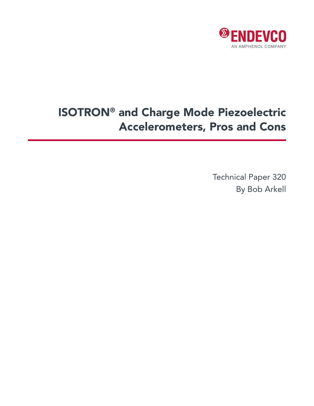

# ISOTRON® and Charge Mode Piezoelectric Accelerometers, Pros and Cons

Technical Paper 320 By Bob Arkell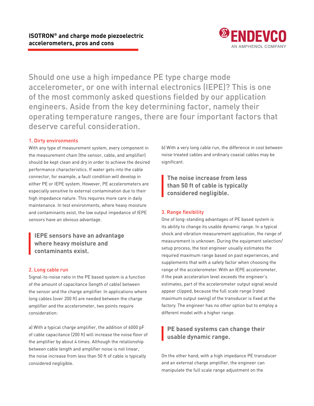

Should one use a high impedance PE type charge mode accelerometer, or one with internal electronics (IEPE)? This is one of the most commonly asked questions fielded by our application engineers. Aside from the key determining factor, namely their operating temperature ranges, there are four important factors that deserve careful consideration.

#### 1. Dirty environments

With any type of measurement system, every component in the measurement chain (the sensor, cable, and amplifier) should be kept clean and dry in order to achieve the desired performance characteristics. If water gets into the cable connector, for example, a fault condition will develop in either PE or IEPE system. However, PE accelerometers are especially sensitive to external contamination due to their high impedance nature. This requires more care in daily maintenance. In test environments, where heavy moisture and contaminants exist, the low output impedance of IEPE sensors have an obvious advantage.

**IEPE sensors have an advantage where heavy moisture and contaminants exist.**

#### 2. Long cable run

Signal-to-noise ratio in the PE based system is a function of the amount of capacitance (length of cable) between the sensor and the charge amplifier. In applications where long cables (over 200 ft) are needed between the charge amplifier and the accelerometer, two points require consideration:

a) With a typical charge amplifier, the addition of 6000 pF of cable capacitance (200 ft) will increase the noise floor of the amplifier by about 4 times. Although the relationship between cable length and amplifier noise is not linear, the noise increase from less than 50 ft of cable is typically considered negligible.

b) With a very long cable run, the difference in cost between noise treated cables and ordinary coaxial cables may be significant.

**The noise increase from less than 50 ft of cable is typically considered negligible.**

### 3. Range flexibility

One of long-standing advantages of PE based system is its ability to change its usable dynamic range. In a typical shock and vibration measurement application, the range of measurement is unknown. During the equipment selection/ setup process, the test engineer usually estimates the required maximum range based on past experiences, and supplements that with a safety factor when choosing the range of the accelerometer. With an IEPE accelerometer, if the peak acceleration level exceeds the engineer's estimates, part of the accelerometer output signal would appear clipped, because the full scale range (rated maximum output swing) of the transducer is fixed at the factory. The engineer has no other option but to employ a different model with a higher range.

## **PE based systems can change their usable dynamic range.**

On the other hand, with a high impedance PE transducer and an external charge amplifier, the engineer can manipulate the full scale range adjustment on the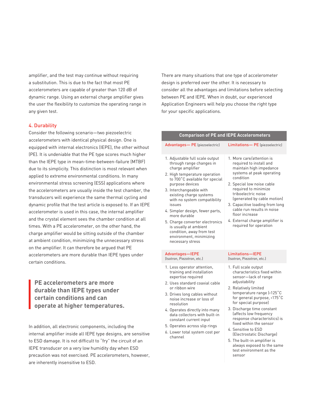amplifier, and the test may continue without requiring a substitution. This is due to the fact that most PE accelerometers are capable of greater than 120 dB of dynamic range. Using an external charge amplifier gives the user the flexibility to customize the operating range in any given test.

#### 4. Durability

Consider the following scenario—two piezoelectric accelerometers with identical physical design. One is equipped with internal electronics (IEPE), the other without (PE). It is undeniable that the PE type scores much higher than the IEPE type in mean-time-between-failure (MTBF) due to its simplicity. This distinction is most relevant when applied to extreme environmental conditions. In many environmental stress screening (ESS) applications where the accelerometers are usually inside the test chamber, the transducers will experience the same thermal cycling and dynamic profile that the test article is exposed to. If an IEPE accelerometer is used in this case, the internal amplifier and the crystal element sees the chamber condition at all times. With a PE accelerometer, on the other hand, the charge amplifier would be sitting outside of the chamber at ambient condition, minimizing the unnecessary stress on the amplifier. It can therefore be argued that PE accelerometers are more durable than IEPE types under certain conditions.

**PE accelerometers are more durable than IEPE types under certain conditions and can operate at higher temperatures.**

In addition, all electronic components, including the internal amplifier inside all IEPE type designs, are sensitive to ESD damage. It is not difficult to "fry" the circuit of an IEPE transducer on a very low humidity day when ESD precaution was not exercised. PE accelerometers, however, are inherently insensitive to ESD.

There are many situations that one type of accelerometer design is preferred over the other. It is necessary to consider all the advantages and limitations before selecting between PE and IEPE. When in doubt, our experienced Application Engineers will help you choose the right type for your specific applications.

| <b>Comparison of PE and IEPE Accelerometers</b>                                                                                                                                                                                                                                                                                                                                                                                                                  |                                                                                                                                                                                                                                                                                                                                                                                                                                                                                      |
|------------------------------------------------------------------------------------------------------------------------------------------------------------------------------------------------------------------------------------------------------------------------------------------------------------------------------------------------------------------------------------------------------------------------------------------------------------------|--------------------------------------------------------------------------------------------------------------------------------------------------------------------------------------------------------------------------------------------------------------------------------------------------------------------------------------------------------------------------------------------------------------------------------------------------------------------------------------|
| Advantages- PE (piezoelectric)                                                                                                                                                                                                                                                                                                                                                                                                                                   | Limitations- PE (piezoelectric)                                                                                                                                                                                                                                                                                                                                                                                                                                                      |
| 1. Adjustable full scale output<br>through range changes in<br>charge amplifier<br>2. High temperature operation<br>to 700°C available for special<br>purpose devices<br>3. Interchangeable with<br>existing charge systems<br>with no system compatibility<br>issues<br>4. Simpler design, fewer parts,<br>more durable<br>5. Charge converter electronics<br>is usually at ambient<br>condition, away from test<br>environment, minimizing<br>necessary stress | 1. More care/attention is<br>required to install and<br>maintain high impedance<br>systems at peak operating<br>condition<br>2. Special low noise cable<br>required to minimize<br>triboelectric noise<br>(generated by cable motion)<br>3. Capacitive loading from long<br>cable run results in noise<br>floor increase<br>4. External charge amplifier is<br>required for operation                                                                                                |
| Advantages-IEPE<br>(Isotron, Piezotron, etc.)                                                                                                                                                                                                                                                                                                                                                                                                                    | Limitations-IEPE<br>(Isotron, Piezotron, etc.)                                                                                                                                                                                                                                                                                                                                                                                                                                       |
| 1. Less operator attention,<br>training and installation<br>expertise required<br>2. Uses standard coaxial cable<br>or ribbon wire<br>3. Drives long cables without<br>noise increase or loss of<br>resolution<br>4. Operates directly into many<br>data collectors with built-in<br>constant current input<br>5. Operates across slip rings<br>6. Lower total system cost per<br>channel                                                                        | 1. Full scale output<br>characteristics fixed within<br>sensor-lack of range<br>adjustability<br>2. Relatively limited<br>temperature range (<125°C<br>for general purpose, <175°C<br>for special purpose)<br>3. Discharge time constant<br>(affects low frequency<br>response characteristics) is<br>fixed within the sensor<br>4. Sensitive to ESD<br>(Electrostatic Discharge)<br>5. The built-in amplifier is<br>always exposed to the same<br>test environment as the<br>sensor |